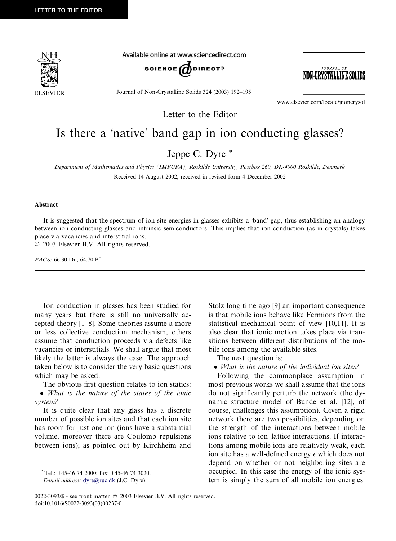

Available online at www.sciencedirect.com



Journal of Non-Crystalline Solids 324 (2003) 192–195

JOURNAL OF -CRYSTALLINE SO

www.elsevier.com/locate/jnoncrysol

Letter to the Editor

## Is there a 'native' band gap in ion conducting glasses?

Jeppe C. Dyre \*

Department of Mathematics and Physics (IMFUFA), Roskilde University, Postbox 260, DK-4000 Roskilde, Denmark Received 14 August 2002; received in revised form 4 December 2002

## Abstract

It is suggested that the spectrum of ion site energies in glasses exhibits a 'band' gap, thus establishing an analogy between ion conducting glasses and intrinsic semiconductors. This implies that ion conduction (as in crystals) takes place via vacancies and interstitial ions.

2003 Elsevier B.V. All rights reserved.

PACS: 66.30.Dn; 64.70.Pf

Ion conduction in glasses has been studied for many years but there is still no universally accepted theory [1–8]. Some theories assume a more or less collective conduction mechanism, others assume that conduction proceeds via defects like vacancies or interstitials. We shall argue that most likely the latter is always the case. The approach taken below is to consider the very basic questions which may be asked.

The obvious first question relates to ion statics: • What is the nature of the states of the ionic system?

It is quite clear that any glass has a discrete number of possible ion sites and that each ion site has room for just one ion (ions have a substantial volume, moreover there are Coulomb repulsions between ions); as pointed out by Kirchheim and Stolz long time ago [9] an important consequence is that mobile ions behave like Fermions from the statistical mechanical point of view [10,11]. It is also clear that ionic motion takes place via transitions between different distributions of the mobile ions among the available sites.

The next question is:

• What is the nature of the individual ion sites?

Following the commonplace assumption in most previous works we shall assume that the ions do not significantly perturb the network (the dynamic structure model of Bunde et al. [12], of course, challenges this assumption). Given a rigid network there are two possibilities, depending on the strength of the interactions between mobile ions relative to ion–lattice interactions. If interactions among mobile ions are relatively weak, each ion site has a well-defined energy  $\epsilon$  which does not depend on whether or not neighboring sites are occupied. In this case the energy of the ionic system is simply the sum of all mobile ion energies.

 $*$  Tel.: +45-46 74 2000; fax: +45-46 74 3020.

E-mail address: [dyre@ruc.dk](mail to: dyre@ruc.dk) (J.C. Dyre).

<sup>0022-3093/\$ -</sup> see front matter  $\oslash$  2003 Elsevier B.V. All rights reserved. doi:10.1016/S0022-3093(03)00237-0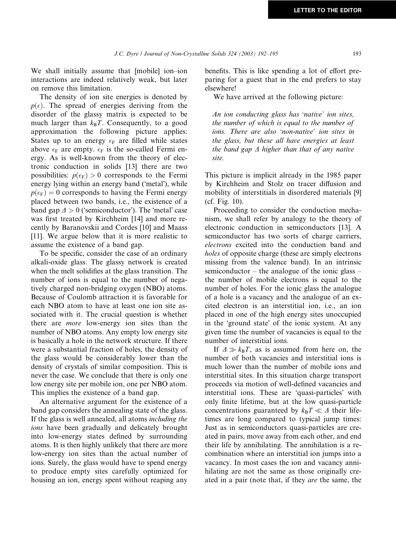We shall initially assume that [mobile] ion–ion interactions are indeed relatively weak, but later on remove this limitation.

The density of ion site energies is denoted by  $p(\epsilon)$ . The spread of energies deriving from the disorder of the glassy matrix is expected to be much larger than  $k_B T$ . Consequently, to a good approximation the following picture applies: States up to an energy  $\epsilon_F$  are filled while states above  $\epsilon_F$  are empty.  $\epsilon_F$  is the so-called Fermi energy. As is well-known from the theory of electronic conduction in solids [13] there are two possibilities:  $p(\epsilon_F) > 0$  corresponds to the Fermi energy lying within an energy band ('metal'), while  $p(\epsilon_F) = 0$  corresponds to having the Fermi energy placed between two bands, i.e., the existence of a band gap  $\Delta > 0$  ('semiconductor'). The 'metal' case was first treated by Kirchheim [14] and more recently by Baranovskii and Cordes [10] and Maass [11]. We argue below that it is more realistic to assume the existence of a band gap.

To be specific, consider the case of an ordinary alkali-oxide glass. The glassy network is created when the melt solidifies at the glass transition. The number of ions is equal to the number of negatively charged non-bridging oxygen (NBO) atoms. Because of Coulomb attraction it is favorable for each NBO atom to have at least one ion site associated with it. The crucial question is whether there are more low-energy ion sites than the number of NBO atoms. Any empty low energy site is basically a hole in the network structure. If there were a substantial fraction of holes, the density of the glass would be considerably lower than the density of crystals of similar composition. This is never the case. We conclude that there is only one low energy site per mobile ion, one per NBO atom. This implies the existence of a band gap.

An alternative argument for the existence of a band gap considers the annealing state of the glass. If the glass is well annealed, all atoms including the ions have been gradually and delicately brought into low-energy states defined by surrounding atoms. It is then highly unlikely that there are more low-energy ion sites than the actual number of ions. Surely, the glass would have to spend energy to produce empty sites carefully optimized for housing an ion, energy spent without reaping any

benefits. This is like spending a lot of effort preparing for a guest that in the end prefers to stay elsewhere!

We have arrived at the following picture:

An ion conducting glass has 'native' ion sites, the number of which is equal to the number of ions. There are also 'non-native' ion sites in the glass, but these all have energies at least the band gap  $\Delta$  higher than that of any native site.

This picture is implicit already in the 1985 paper by Kirchheim and Stolz on tracer diffusion and mobility of interstitials in disordered materials [9] (cf. Fig. 10).

Proceeding to consider the conduction mechanism, we shall refer by analogy to the theory of electronic conduction in semiconductors [13]. A semiconductor has two sorts of charge carriers, electrons excited into the conduction band and holes of opposite charge (these are simply electrons missing from the valence band). In an intrinsic semiconductor – the analogue of the ionic glass – the number of mobile electrons is equal to the number of holes. For the ionic glass the analogue of a hole is a vacancy and the analogue of an excited electron is an interstitial ion, i.e., an ion placed in one of the high energy sites unoccupied in the 'ground state' of the ionic system. At any given time the number of vacancies is equal to the number of interstitial ions.

If  $\Delta \gg k_B T$ , as is assumed from here on, the number of both vacancies and interstitial ions is much lower than the number of mobile ions and interstitial sites. In this situation charge transport proceeds via motion of well-defined vacancies and interstitial ions. These are 'quasi-particles' with only finite lifetime, but at the low quasi-particle concentrations guaranteed by  $k_B T \ll \Delta$  their lifetimes are long compared to typical jump times: Just as in semiconductors quasi-particles are created in pairs, move away from each other, and end their life by annihilating. The annihilation is a recombination where an interstitial ion jumps into a vacancy. In most cases the ion and vacancy annihilating are not the same as those originally created in a pair (note that, if they are the same, the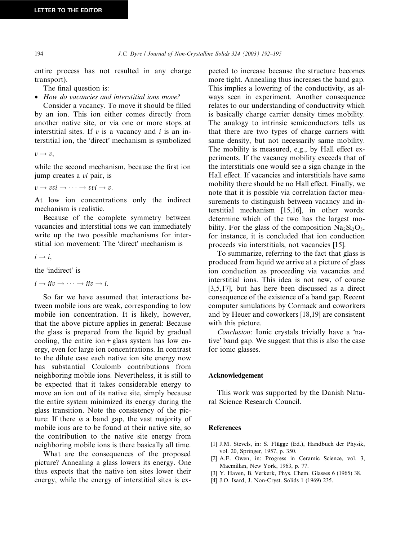entire process has not resulted in any charge transport).

The final question is:

• How do vacancies and interstitial ions move?

Consider a vacancy. To move it should be filled by an ion. This ion either comes directly from another native site, or via one or more stops at interstitial sites. If  $v$  is a vacancy and  $i$  is an interstitial ion, the 'direct' mechanism is symbolized

 $v \rightarrow v.$ 

while the second mechanism, because the first ion jump creates a vi pair, is

 $v \rightarrow vvi \rightarrow \cdots \rightarrow vvi \rightarrow v.$ 

At low ion concentrations only the indirect mechanism is realistic.

Because of the complete symmetry between vacancies and interstitial ions we can immediately write up the two possible mechanisms for interstitial ion movement: The 'direct' mechanism is

 $i \rightarrow i$ ,

the 'indirect' is

 $i \rightarrow ii\upsilon \rightarrow \cdots \rightarrow iii\rightarrow i.$ 

So far we have assumed that interactions between mobile ions are weak, corresponding to low mobile ion concentration. It is likely, however, that the above picture applies in general: Because the glass is prepared from the liquid by gradual cooling, the entire ion  $+$  glass system has low energy, even for large ion concentrations. In contrast to the dilute case each native ion site energy now has substantial Coulomb contributions from neighboring mobile ions. Nevertheless, it is still to be expected that it takes considerable energy to move an ion out of its native site, simply because the entire system minimized its energy during the glass transition. Note the consistency of the picture: If there is a band gap, the vast majority of mobile ions are to be found at their native site, so the contribution to the native site energy from neighboring mobile ions is there basically all time.

What are the consequences of the proposed picture? Annealing a glass lowers its energy. One thus expects that the native ion sites lower their energy, while the energy of interstitial sites is expected to increase because the structure becomes more tight. Annealing thus increases the band gap. This implies a lowering of the conductivity, as always seen in experiment. Another consequence relates to our understanding of conductivity which is basically charge carrier density times mobility. The analogy to intrinsic semiconductors tells us that there are two types of charge carriers with same density, but not necessarily same mobility. The mobility is measured, e.g., by Hall effect experiments. If the vacancy mobility exceeds that of the interstitials one would see a sign change in the Hall effect. If vacancies and interstitials have same mobility there should be no Hall effect. Finally, we note that it is possible via correlation factor measurements to distinguish between vacancy and interstitial mechanism [15,16], in other words: determine which of the two has the largest mobility. For the glass of the composition  $Na<sub>2</sub>Si<sub>2</sub>O<sub>5</sub>$ , for instance, it is concluded that ion conduction proceeds via interstitials, not vacancies [15].

To summarize, referring to the fact that glass is produced from liquid we arrive at a picture of glass ion conduction as proceeding via vacancies and interstitial ions. This idea is not new, of course [3,5,17], but has here been discussed as a direct consequence of the existence of a band gap. Recent computer simulations by Cormack and coworkers and by Heuer and coworkers [18,19] are consistent with this picture.

Conclusion: Ionic crystals trivially have a 'native' band gap. We suggest that this is also the case for ionic glasses.

## Acknowledgement

This work was supported by the Danish Natural Science Research Council.

## References

- [1] J.M. Stevels, in: S. Flügge (Ed.), Handbuch der Physik, vol. 20, Springer, 1957, p. 350.
- [2] A.E. Owen, in: Progress in Ceramic Science, vol. 3, Macmillan, New York, 1963, p. 77.
- [3] Y. Haven, B. Verkerk, Phys. Chem. Glasses 6 (1965) 38.
- [4] J.O. Isard, J. Non-Cryst. Solids 1 (1969) 235.